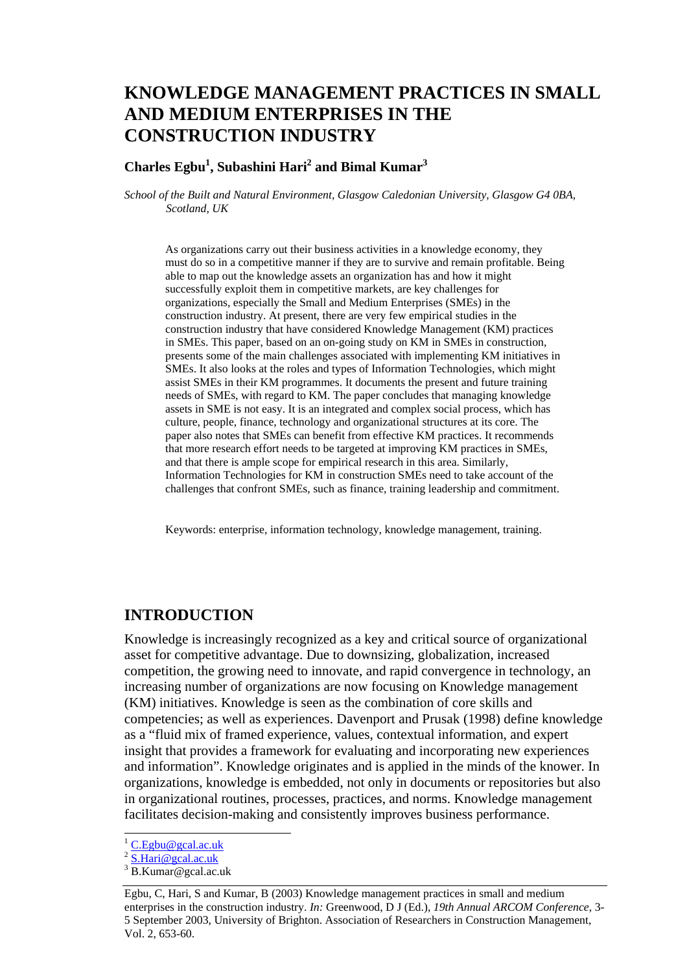# **KNOWLEDGE MANAGEMENT PRACTICES IN SMALL AND MEDIUM ENTERPRISES IN THE CONSTRUCTION INDUSTRY**

### Charles Egbu<sup>1</sup>, Subashini Hari<sup>2</sup> and Bimal Kumar<sup>3</sup>

*School of the Built and Natural Environment, Glasgow Caledonian University, Glasgow G4 0BA, Scotland, UK* 

As organizations carry out their business activities in a knowledge economy, they must do so in a competitive manner if they are to survive and remain profitable. Being able to map out the knowledge assets an organization has and how it might successfully exploit them in competitive markets, are key challenges for organizations, especially the Small and Medium Enterprises (SMEs) in the construction industry. At present, there are very few empirical studies in the construction industry that have considered Knowledge Management (KM) practices in SMEs. This paper, based on an on-going study on KM in SMEs in construction, presents some of the main challenges associated with implementing KM initiatives in SMEs. It also looks at the roles and types of Information Technologies, which might assist SMEs in their KM programmes. It documents the present and future training needs of SMEs, with regard to KM. The paper concludes that managing knowledge assets in SME is not easy. It is an integrated and complex social process, which has culture, people, finance, technology and organizational structures at its core. The paper also notes that SMEs can benefit from effective KM practices. It recommends that more research effort needs to be targeted at improving KM practices in SMEs, and that there is ample scope for empirical research in this area. Similarly, Information Technologies for KM in construction SMEs need to take account of the challenges that confront SMEs, such as finance, training leadership and commitment.

Keywords: enterprise, information technology, knowledge management, training.

## **INTRODUCTION**

Knowledge is increasingly recognized as a key and critical source of organizational asset for competitive advantage. Due to downsizing, globalization, increased competition, the growing need to innovate, and rapid convergence in technology, an increasing number of organizations are now focusing on Knowledge management (KM) initiatives. Knowledge is seen as the combination of core skills and competencies; as well as experiences. Davenport and Prusak (1998) define knowledge as a "fluid mix of framed experience, values, contextual information, and expert insight that provides a framework for evaluating and incorporating new experiences and information". Knowledge originates and is applied in the minds of the knower. In organizations, knowledge is embedded, not only in documents or repositories but also in organizational routines, processes, practices, and norms. Knowledge management facilitates decision-making and consistently improves business performance.

l

 $1 \underline{\text{C.Egbu}\omega \text{ gcal.ac.uk}}$ 

 $2 \overline{\text{S}.\text{Hari}\omega_{\text{gcal.ac.uk}}}$ 

<sup>3</sup> B.Kumar@gcal.ac.uk

Egbu, C, Hari, S and Kumar, B (2003) Knowledge management practices in small and medium enterprises in the construction industry. *In:* Greenwood, D J (Ed.), *19th Annual ARCOM Conference*, 3- 5 September 2003, University of Brighton. Association of Researchers in Construction Management, Vol. 2, 653-60.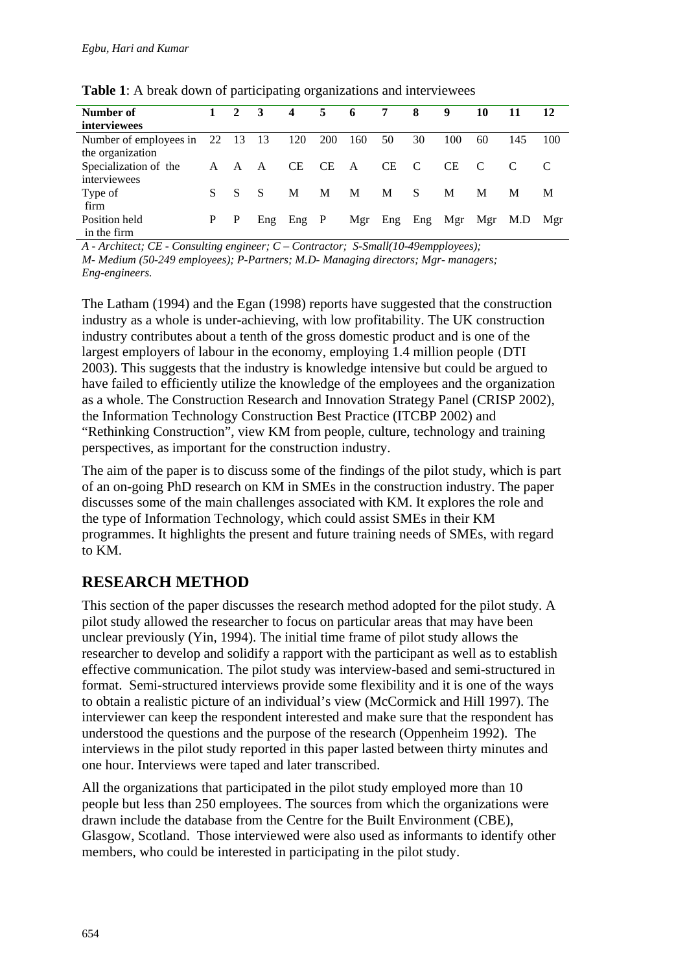| Number of              | $\mathbf{1}$ | $\mathbf{2}$ | $\overline{\mathbf{3}}$ | 4         | 5         | - 6 | 7         | 8              | 9       | 10  | 11  | 12  |
|------------------------|--------------|--------------|-------------------------|-----------|-----------|-----|-----------|----------------|---------|-----|-----|-----|
| <i>interviewees</i>    |              |              |                         |           |           |     |           |                |         |     |     |     |
| Number of employees in | 22 13        |              | -13                     | 120       | 200       | 160 | 50        | 30             | 100     | 60  | 145 | 100 |
| the organization       |              |              |                         |           |           |     |           |                |         |     |     |     |
| Specialization of the  | A            | A            | A                       | <b>CE</b> | <b>CE</b> | A   | <b>CE</b> | <sup>-</sup> C | СE      | C   |     |     |
| interviewees           |              |              |                         |           |           |     |           |                |         |     |     |     |
| Type of                | S.           | S            | <sup>S</sup>            | M         | M         | М   | M         | S              | M       | M   | М   | M   |
| firm                   |              |              |                         |           |           |     |           |                |         |     |     |     |
| Position held          | P            | P            | Eng                     | $Eng$ $P$ |           | Mgr | Eng       |                | Eng Mgr | Mgr | M.D | Mgr |
| in the firm            |              |              |                         |           |           |     |           |                |         |     |     |     |

**Table 1**: A break down of participating organizations and interviewees

*A - Architect; CE - Consulting engineer; C – Contractor; S-Small(10-49empployees);* 

*M- Medium (50-249 employees); P-Partners; M.D- Managing directors; Mgr- managers; Eng-engineers.*

The Latham (1994) and the Egan (1998) reports have suggested that the construction industry as a whole is under-achieving, with low profitability. The UK construction industry contributes about a tenth of the gross domestic product and is one of the largest employers of labour in the economy, employing 1.4 million people (DTI 2003). This suggests that the industry is knowledge intensive but could be argued to have failed to efficiently utilize the knowledge of the employees and the organization as a whole. The Construction Research and Innovation Strategy Panel (CRISP 2002), the Information Technology Construction Best Practice (ITCBP 2002) and "Rethinking Construction", view KM from people, culture, technology and training perspectives, as important for the construction industry.

The aim of the paper is to discuss some of the findings of the pilot study, which is part of an on-going PhD research on KM in SMEs in the construction industry. The paper discusses some of the main challenges associated with KM. It explores the role and the type of Information Technology, which could assist SMEs in their KM programmes. It highlights the present and future training needs of SMEs, with regard to KM.

# **RESEARCH METHOD**

This section of the paper discusses the research method adopted for the pilot study. A pilot study allowed the researcher to focus on particular areas that may have been unclear previously (Yin, 1994). The initial time frame of pilot study allows the researcher to develop and solidify a rapport with the participant as well as to establish effective communication. The pilot study was interview-based and semi-structured in format. Semi-structured interviews provide some flexibility and it is one of the ways to obtain a realistic picture of an individual's view (McCormick and Hill 1997). The interviewer can keep the respondent interested and make sure that the respondent has understood the questions and the purpose of the research (Oppenheim 1992). The interviews in the pilot study reported in this paper lasted between thirty minutes and one hour. Interviews were taped and later transcribed.

All the organizations that participated in the pilot study employed more than 10 people but less than 250 employees. The sources from which the organizations were drawn include the database from the Centre for the Built Environment (CBE), Glasgow, Scotland. Those interviewed were also used as informants to identify other members, who could be interested in participating in the pilot study.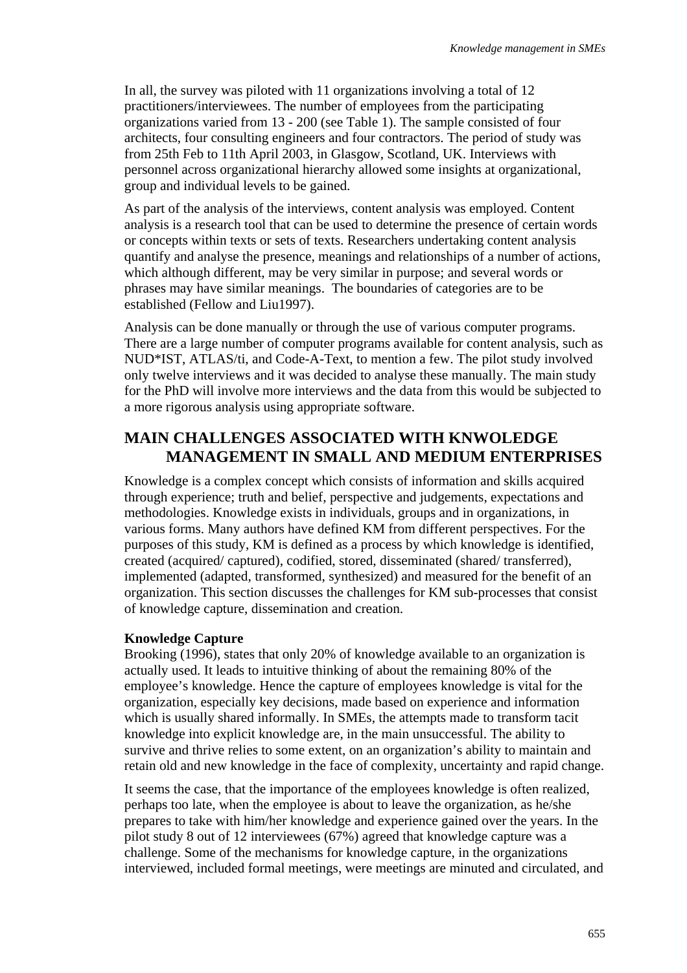In all, the survey was piloted with 11 organizations involving a total of 12 practitioners/interviewees. The number of employees from the participating organizations varied from 13 - 200 (see Table 1). The sample consisted of four architects, four consulting engineers and four contractors. The period of study was from 25th Feb to 11th April 2003, in Glasgow, Scotland, UK. Interviews with personnel across organizational hierarchy allowed some insights at organizational, group and individual levels to be gained.

As part of the analysis of the interviews, content analysis was employed. Content analysis is a research tool that can be used to determine the presence of certain words or concepts within texts or sets of texts. Researchers undertaking content analysis quantify and analyse the presence, meanings and relationships of a number of actions, which although different, may be very similar in purpose; and several words or phrases may have similar meanings. The boundaries of categories are to be established (Fellow and Liu1997).

Analysis can be done manually or through the use of various computer programs. There are a large number of computer programs available for content analysis, such as NUD\*IST, ATLAS/ti, and Code-A-Text, to mention a few. The pilot study involved only twelve interviews and it was decided to analyse these manually. The main study for the PhD will involve more interviews and the data from this would be subjected to a more rigorous analysis using appropriate software.

# **MAIN CHALLENGES ASSOCIATED WITH KNWOLEDGE MANAGEMENT IN SMALL AND MEDIUM ENTERPRISES**

Knowledge is a complex concept which consists of information and skills acquired through experience; truth and belief, perspective and judgements, expectations and methodologies. Knowledge exists in individuals, groups and in organizations, in various forms. Many authors have defined KM from different perspectives. For the purposes of this study, KM is defined as a process by which knowledge is identified, created (acquired/ captured), codified, stored, disseminated (shared/ transferred), implemented (adapted, transformed, synthesized) and measured for the benefit of an organization. This section discusses the challenges for KM sub-processes that consist of knowledge capture, dissemination and creation.

#### **Knowledge Capture**

Brooking (1996), states that only 20% of knowledge available to an organization is actually used. It leads to intuitive thinking of about the remaining 80% of the employee's knowledge. Hence the capture of employees knowledge is vital for the organization, especially key decisions, made based on experience and information which is usually shared informally. In SMEs, the attempts made to transform tacit knowledge into explicit knowledge are, in the main unsuccessful. The ability to survive and thrive relies to some extent, on an organization's ability to maintain and retain old and new knowledge in the face of complexity, uncertainty and rapid change.

It seems the case, that the importance of the employees knowledge is often realized, perhaps too late, when the employee is about to leave the organization, as he/she prepares to take with him/her knowledge and experience gained over the years. In the pilot study 8 out of 12 interviewees (67%) agreed that knowledge capture was a challenge. Some of the mechanisms for knowledge capture, in the organizations interviewed, included formal meetings, were meetings are minuted and circulated, and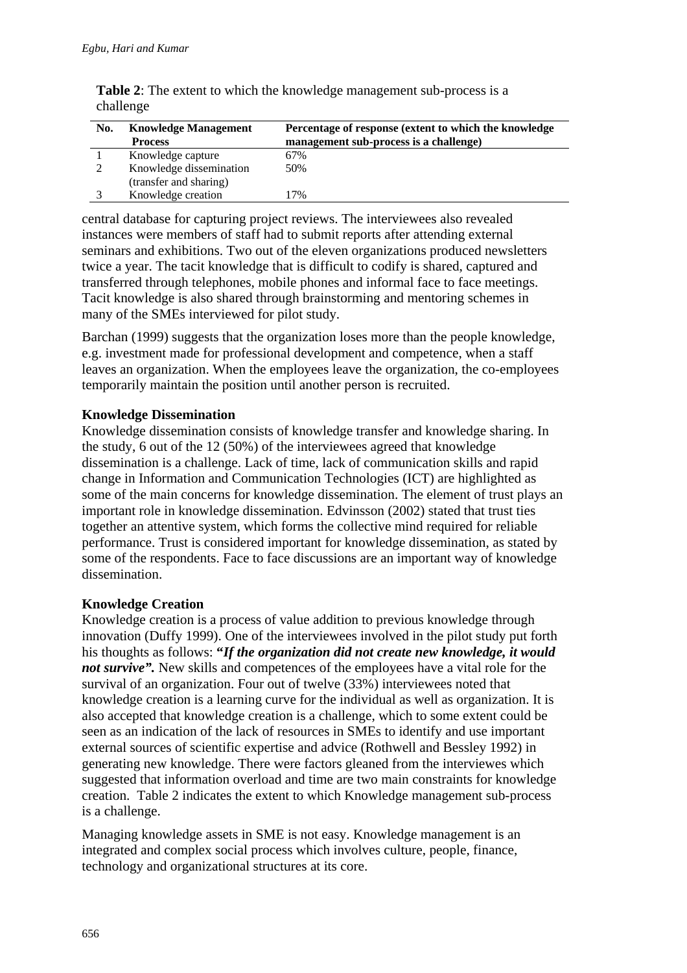| No. | <b>Knowledge Management</b><br><b>Process</b> | Percentage of response (extent to which the knowledge<br>management sub-process is a challenge) |
|-----|-----------------------------------------------|-------------------------------------------------------------------------------------------------|
|     | Knowledge capture                             | 67%                                                                                             |
|     | Knowledge dissemination                       | 50%                                                                                             |
|     | (transfer and sharing)                        |                                                                                                 |
|     | Knowledge creation                            | 17%                                                                                             |

**Table 2**: The extent to which the knowledge management sub-process is a challenge

central database for capturing project reviews. The interviewees also revealed instances were members of staff had to submit reports after attending external seminars and exhibitions. Two out of the eleven organizations produced newsletters twice a year. The tacit knowledge that is difficult to codify is shared, captured and transferred through telephones, mobile phones and informal face to face meetings. Tacit knowledge is also shared through brainstorming and mentoring schemes in many of the SMEs interviewed for pilot study.

Barchan (1999) suggests that the organization loses more than the people knowledge, e.g. investment made for professional development and competence, when a staff leaves an organization. When the employees leave the organization, the co-employees temporarily maintain the position until another person is recruited.

#### **Knowledge Dissemination**

Knowledge dissemination consists of knowledge transfer and knowledge sharing. In the study, 6 out of the 12 (50%) of the interviewees agreed that knowledge dissemination is a challenge. Lack of time, lack of communication skills and rapid change in Information and Communication Technologies (ICT) are highlighted as some of the main concerns for knowledge dissemination. The element of trust plays an important role in knowledge dissemination. Edvinsson (2002) stated that trust ties together an attentive system, which forms the collective mind required for reliable performance. Trust is considered important for knowledge dissemination, as stated by some of the respondents. Face to face discussions are an important way of knowledge dissemination.

#### **Knowledge Creation**

Knowledge creation is a process of value addition to previous knowledge through innovation (Duffy 1999). One of the interviewees involved in the pilot study put forth his thoughts as follows: **"***If the organization did not create new knowledge, it would not survive*". New skills and competences of the employees have a vital role for the survival of an organization. Four out of twelve (33%) interviewees noted that knowledge creation is a learning curve for the individual as well as organization. It is also accepted that knowledge creation is a challenge, which to some extent could be seen as an indication of the lack of resources in SMEs to identify and use important external sources of scientific expertise and advice (Rothwell and Bessley 1992) in generating new knowledge. There were factors gleaned from the interviewes which suggested that information overload and time are two main constraints for knowledge creation. Table 2 indicates the extent to which Knowledge management sub-process is a challenge.

Managing knowledge assets in SME is not easy. Knowledge management is an integrated and complex social process which involves culture, people, finance, technology and organizational structures at its core.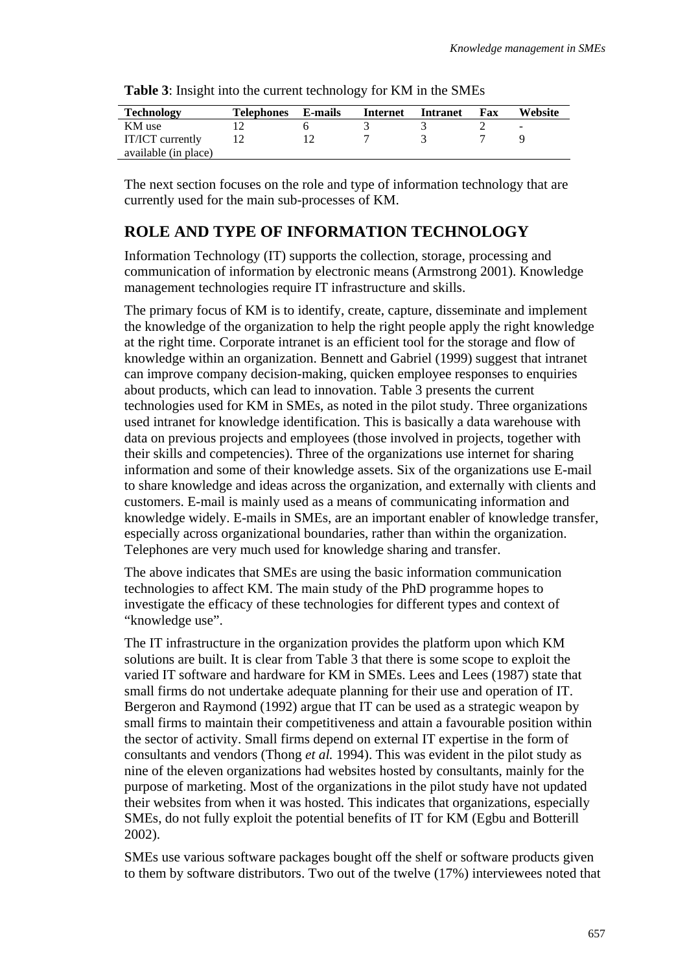| <b>Technology</b>    | <b>Telephones</b> | E-mails | Internet | <b>Intranet</b> | Fax | Website |
|----------------------|-------------------|---------|----------|-----------------|-----|---------|
| KM use               |                   |         |          |                 |     | ٠       |
| IT/ICT currently     |                   |         |          |                 |     |         |
| available (in place) |                   |         |          |                 |     |         |

**Table 3**: Insight into the current technology for KM in the SMEs

The next section focuses on the role and type of information technology that are currently used for the main sub-processes of KM.

### **ROLE AND TYPE OF INFORMATION TECHNOLOGY**

Information Technology (IT) supports the collection, storage, processing and communication of information by electronic means (Armstrong 2001). Knowledge management technologies require IT infrastructure and skills.

The primary focus of KM is to identify, create, capture, disseminate and implement the knowledge of the organization to help the right people apply the right knowledge at the right time. Corporate intranet is an efficient tool for the storage and flow of knowledge within an organization. Bennett and Gabriel (1999) suggest that intranet can improve company decision-making, quicken employee responses to enquiries about products, which can lead to innovation. Table 3 presents the current technologies used for KM in SMEs, as noted in the pilot study. Three organizations used intranet for knowledge identification. This is basically a data warehouse with data on previous projects and employees (those involved in projects, together with their skills and competencies). Three of the organizations use internet for sharing information and some of their knowledge assets. Six of the organizations use E-mail to share knowledge and ideas across the organization, and externally with clients and customers. E-mail is mainly used as a means of communicating information and knowledge widely. E-mails in SMEs, are an important enabler of knowledge transfer, especially across organizational boundaries, rather than within the organization. Telephones are very much used for knowledge sharing and transfer.

The above indicates that SMEs are using the basic information communication technologies to affect KM. The main study of the PhD programme hopes to investigate the efficacy of these technologies for different types and context of "knowledge use".

The IT infrastructure in the organization provides the platform upon which KM solutions are built. It is clear from Table 3 that there is some scope to exploit the varied IT software and hardware for KM in SMEs. Lees and Lees (1987) state that small firms do not undertake adequate planning for their use and operation of IT. Bergeron and Raymond (1992) argue that IT can be used as a strategic weapon by small firms to maintain their competitiveness and attain a favourable position within the sector of activity. Small firms depend on external IT expertise in the form of consultants and vendors (Thong *et al.* 1994). This was evident in the pilot study as nine of the eleven organizations had websites hosted by consultants, mainly for the purpose of marketing. Most of the organizations in the pilot study have not updated their websites from when it was hosted. This indicates that organizations, especially SMEs, do not fully exploit the potential benefits of IT for KM (Egbu and Botterill 2002).

SMEs use various software packages bought off the shelf or software products given to them by software distributors. Two out of the twelve (17%) interviewees noted that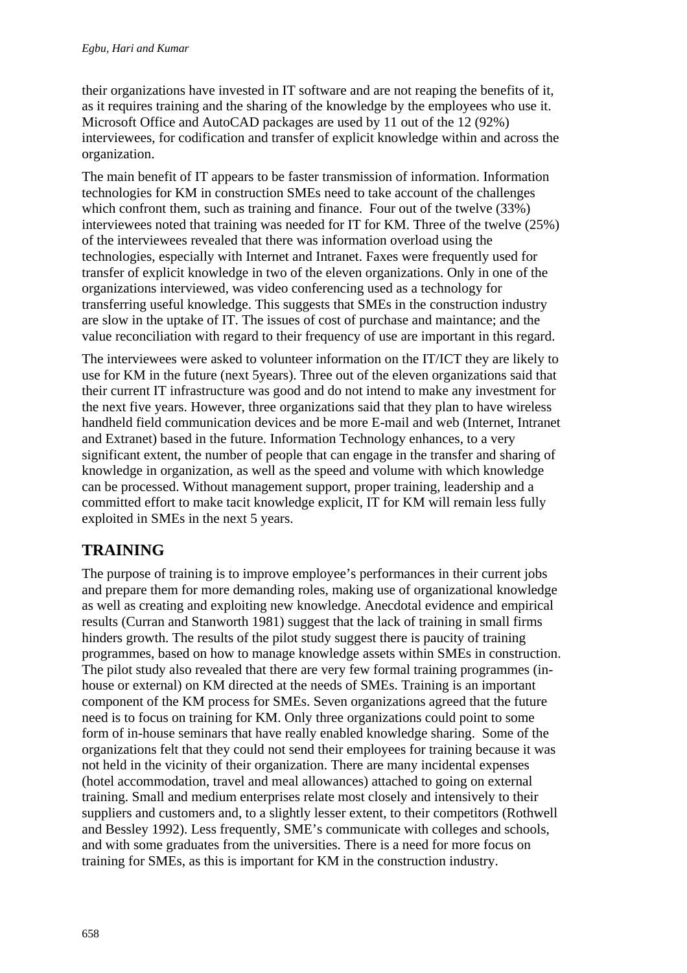their organizations have invested in IT software and are not reaping the benefits of it, as it requires training and the sharing of the knowledge by the employees who use it. Microsoft Office and AutoCAD packages are used by 11 out of the 12 (92%) interviewees, for codification and transfer of explicit knowledge within and across the organization.

The main benefit of IT appears to be faster transmission of information. Information technologies for KM in construction SMEs need to take account of the challenges which confront them, such as training and finance. Four out of the twelve (33%) interviewees noted that training was needed for IT for KM. Three of the twelve (25%) of the interviewees revealed that there was information overload using the technologies, especially with Internet and Intranet. Faxes were frequently used for transfer of explicit knowledge in two of the eleven organizations. Only in one of the organizations interviewed, was video conferencing used as a technology for transferring useful knowledge. This suggests that SMEs in the construction industry are slow in the uptake of IT. The issues of cost of purchase and maintance; and the value reconciliation with regard to their frequency of use are important in this regard.

The interviewees were asked to volunteer information on the IT/ICT they are likely to use for KM in the future (next 5years). Three out of the eleven organizations said that their current IT infrastructure was good and do not intend to make any investment for the next five years. However, three organizations said that they plan to have wireless handheld field communication devices and be more E-mail and web (Internet, Intranet and Extranet) based in the future. Information Technology enhances, to a very significant extent, the number of people that can engage in the transfer and sharing of knowledge in organization, as well as the speed and volume with which knowledge can be processed. Without management support, proper training, leadership and a committed effort to make tacit knowledge explicit, IT for KM will remain less fully exploited in SMEs in the next 5 years.

# **TRAINING**

The purpose of training is to improve employee's performances in their current jobs and prepare them for more demanding roles, making use of organizational knowledge as well as creating and exploiting new knowledge. Anecdotal evidence and empirical results (Curran and Stanworth 1981) suggest that the lack of training in small firms hinders growth. The results of the pilot study suggest there is paucity of training programmes, based on how to manage knowledge assets within SMEs in construction. The pilot study also revealed that there are very few formal training programmes (inhouse or external) on KM directed at the needs of SMEs. Training is an important component of the KM process for SMEs. Seven organizations agreed that the future need is to focus on training for KM. Only three organizations could point to some form of in-house seminars that have really enabled knowledge sharing. Some of the organizations felt that they could not send their employees for training because it was not held in the vicinity of their organization. There are many incidental expenses (hotel accommodation, travel and meal allowances) attached to going on external training. Small and medium enterprises relate most closely and intensively to their suppliers and customers and, to a slightly lesser extent, to their competitors (Rothwell and Bessley 1992). Less frequently, SME's communicate with colleges and schools, and with some graduates from the universities. There is a need for more focus on training for SMEs, as this is important for KM in the construction industry.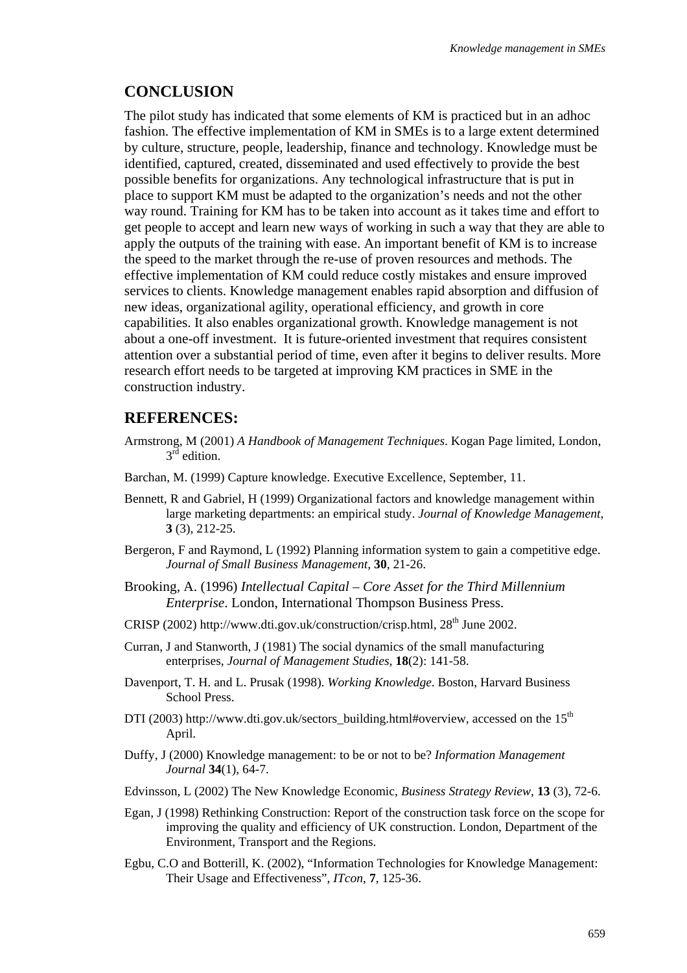### **CONCLUSION**

The pilot study has indicated that some elements of KM is practiced but in an adhoc fashion. The effective implementation of KM in SMEs is to a large extent determined by culture, structure, people, leadership, finance and technology. Knowledge must be identified, captured, created, disseminated and used effectively to provide the best possible benefits for organizations. Any technological infrastructure that is put in place to support KM must be adapted to the organization's needs and not the other way round. Training for KM has to be taken into account as it takes time and effort to get people to accept and learn new ways of working in such a way that they are able to apply the outputs of the training with ease. An important benefit of KM is to increase the speed to the market through the re-use of proven resources and methods. The effective implementation of KM could reduce costly mistakes and ensure improved services to clients. Knowledge management enables rapid absorption and diffusion of new ideas, organizational agility, operational efficiency, and growth in core capabilities. It also enables organizational growth. Knowledge management is not about a one-off investment. It is future-oriented investment that requires consistent attention over a substantial period of time, even after it begins to deliver results. More research effort needs to be targeted at improving KM practices in SME in the construction industry.

## **REFERENCES:**

- Armstrong, M (2001) *A Handbook of Management Techniques*. Kogan Page limited, London,  $3^{rd}$  edition.
- Barchan, M. (1999) Capture knowledge. Executive Excellence, September, 11.
- Bennett, R and Gabriel, H (1999) Organizational factors and knowledge management within large marketing departments: an empirical study. *Journal of Knowledge Management*, **3** (3), 212-25.
- Bergeron, F and Raymond, L (1992) Planning information system to gain a competitive edge. *Journal of Small Business Management,* **30**, 21-26.
- Brooking, A. (1996) *Intellectual Capital Core Asset for the Third Millennium Enterprise*. London, International Thompson Business Press.
- CRISP (2002) http://www.dti.gov.uk/construction/crisp.html, 28<sup>th</sup> June 2002.
- Curran, J and Stanworth, J (1981) The social dynamics of the small manufacturing enterprises, *Journal of Management Studies*, **18**(2): 141-58.
- Davenport, T. H. and L. Prusak (1998). *Working Knowledge*. Boston, Harvard Business School Press.
- DTI (2003) http://www.dti.gov.uk/sectors\_building.html#overview, accessed on the  $15<sup>th</sup>$ April.
- Duffy, J (2000) Knowledge management: to be or not to be? *Information Management Journal* **34**(1), 64-7.
- Edvinsson, L (2002) The New Knowledge Economic, *Business Strategy Review*, **13** (3), 72-6.
- Egan, J (1998) Rethinking Construction: Report of the construction task force on the scope for improving the quality and efficiency of UK construction. London, Department of the Environment, Transport and the Regions.
- Egbu, C.O and Botterill, K. (2002), "Information Technologies for Knowledge Management: Their Usage and Effectiveness", *ITcon*, **7**, 125-36.